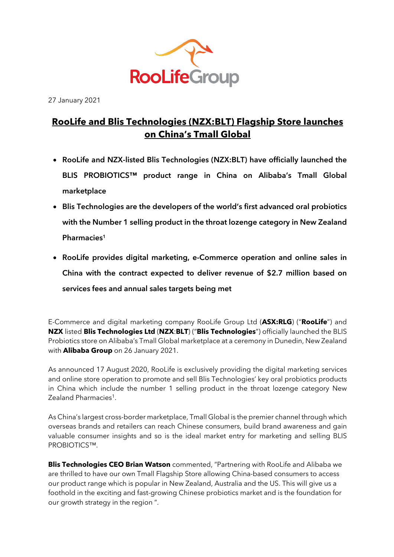

27 January 2021

# **RooLife and Blis Technologies (NZX:BLT) Flagship Store launches on China's Tmall Global**

- **RooLife and NZX-listed Blis Technologies (NZX:BLT) have officially launched the BLIS PROBIOTICS™ product range in China on Alibaba's Tmall Global marketplace**
- **Blis Technologies are the developers of the world's first advanced oral probiotics with the Number 1 selling product in the throat lozenge category in New Zealand Pharmacies1**
- **RooLife provides digital marketing, e-Commerce operation and online sales in China with the contract expected to deliver revenue of \$2.7 million based on services fees and annual sales targets being met**

E-Commerce and digital marketing company RooLife Group Ltd (**ASX:RLG**) ("**RooLife**") and **NZX** listed **Blis Technologies Ltd** (**NZX**:**BLT**) ("**Blis Technologies**") officially launched the BLIS Probiotics store on Alibaba's Tmall Global marketplace at a ceremony in Dunedin, New Zealand with **Alibaba Group** on 26 January 2021.

As announced 17 August 2020, RooLife is exclusively providing the digital marketing services and online store operation to promote and sell Blis Technologies' key oral probiotics products in China which include the number 1 selling product in the throat lozenge category New Zealand Pharmacies1.

As China's largest cross-border marketplace, Tmall Global is the premier channel through which overseas brands and retailers can reach Chinese consumers, build brand awareness and gain valuable consumer insights and so is the ideal market entry for marketing and selling BLIS PROBIOTICS™.

**Blis Technologies CEO Brian Watson** commented, "Partnering with RooLife and Alibaba we are thrilled to have our own Tmall Flagship Store allowing China-based consumers to access our product range which is popular in New Zealand, Australia and the US. This will give us a foothold in the exciting and fast-growing Chinese probiotics market and is the foundation for our growth strategy in the region ".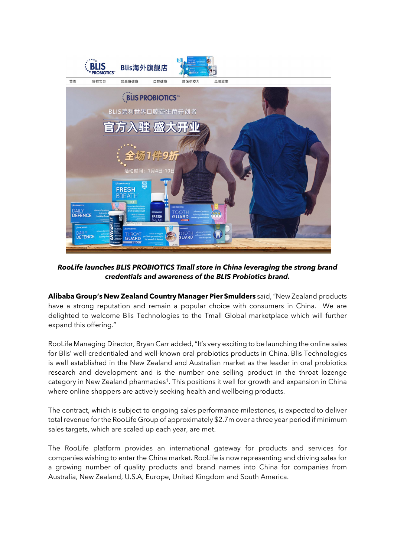

*RooLife launches BLIS PROBIOTICS Tmall store in China leveraging the strong brand credentials and awareness of the BLIS Probiotics brand.*

**Alibaba Group's New Zealand Country Manager Pier Smulders** said,"New Zealand products have a strong reputation and remain a popular choice with consumers in China. We are delighted to welcome Blis Technologies to the Tmall Global marketplace which will further expand this offering."

RooLife Managing Director, Bryan Carr added, "It's very exciting to be launching the online sales for Blis' well-credentialed and well-known oral probiotics products in China. Blis Technologies is well established in the New Zealand and Australian market as the leader in oral probiotics research and development and is the number one selling product in the throat lozenge category in New Zealand pharmacies<sup>1</sup>. This positions it well for growth and expansion in China where online shoppers are actively seeking health and wellbeing products.

The contract, which is subject to ongoing sales performance milestones, is expected to deliver total revenue for the RooLife Group of approximately \$2.7m over a three year period if minimum sales targets, which are scaled up each year, are met.

The RooLife platform provides an international gateway for products and services for companies wishing to enter the China market. RooLife is now representing and driving sales for a growing number of quality products and brand names into China for companies from Australia, New Zealand, U.S.A, Europe, United Kingdom and South America.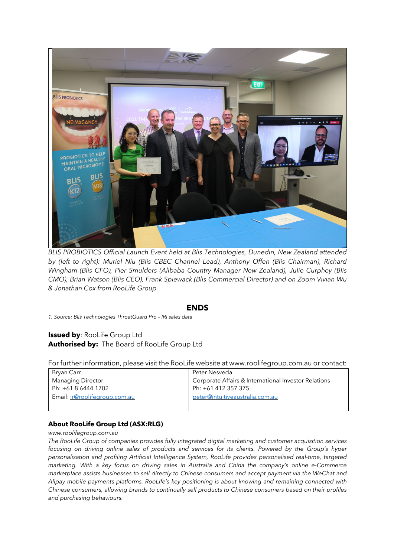

*BLIS PROBIOTICS Official Launch Event held at Blis Technologies, Dunedin, New Zealand attended by (left to right): Muriel Niu (Blis CBEC Channel Lead), Anthony Offen (Blis Chairman), Richard Wingham (Blis CFO), Pier Smulders (Alibaba Country Manager New Zealand), Julie Curphey (Blis CMO), Brian Watson (Blis CEO), Frank Spiewack (Blis Commercial Director) and on Zoom Vivian Wu & Jonathan Cox from RooLife Group.*

### **ENDS**

*1. Source: Blis Technologies ThroatGuard Pro – IRI sales data*

# **Issued by**: RooLife Group Ltd **Authorised by:** The Board of RooLife Group Ltd

For further information, please visit the RooLife website at www.roolifegroup.com.au or contact:

| Bryan Carr                    | Peter Nesveda                                        |
|-------------------------------|------------------------------------------------------|
| Managing Director             | Corporate Affairs & International Investor Relations |
| Ph: +61 8 6444 1702           | Ph: +61 412 357 375                                  |
| Email: ir@roolifegroup.com.au | peter@intuitiveaustralia.com.au                      |
|                               |                                                      |

# **About RooLife Group Ltd (ASX:RLG)**

#### *www.roolifegroup.com.au*

*The RooLife Group of companies provides fully integrated digital marketing and customer acquisition services focusing on driving online sales of products and services for its clients. Powered by the Group's hyper personalisation and profiling Artificial Intelligence System, RooLife provides personalised real-time, targeted marketing. With a key focus on driving sales in Australia and China the company's online e-Commerce marketplace assists businesses to sell directly to Chinese consumers and accept payment via the WeChat and Alipay mobile payments platforms. RooLife's key positioning is about knowing and remaining connected with Chinese consumers, allowing brands to continually sell products to Chinese consumers based on their profiles and purchasing behaviours.*